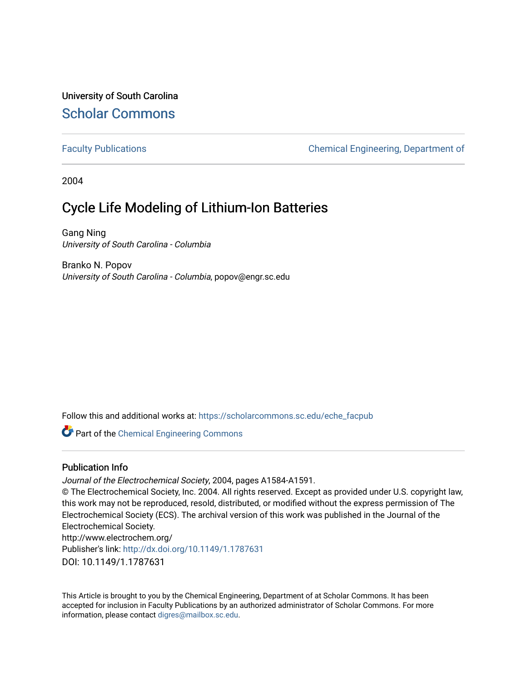University of South Carolina [Scholar Commons](https://scholarcommons.sc.edu/) 

[Faculty Publications](https://scholarcommons.sc.edu/eche_facpub) **Chemical Engineering, Department of** Chemical Engineering, Department of

2004

# Cycle Life Modeling of Lithium-Ion Batteries

Gang Ning University of South Carolina - Columbia

Branko N. Popov University of South Carolina - Columbia, popov@engr.sc.edu

Follow this and additional works at: [https://scholarcommons.sc.edu/eche\\_facpub](https://scholarcommons.sc.edu/eche_facpub?utm_source=scholarcommons.sc.edu%2Feche_facpub%2F163&utm_medium=PDF&utm_campaign=PDFCoverPages) 

Part of the [Chemical Engineering Commons](http://network.bepress.com/hgg/discipline/240?utm_source=scholarcommons.sc.edu%2Feche_facpub%2F163&utm_medium=PDF&utm_campaign=PDFCoverPages)

## Publication Info

Journal of the Electrochemical Society, 2004, pages A1584-A1591.

© The Electrochemical Society, Inc. 2004. All rights reserved. Except as provided under U.S. copyright law, this work may not be reproduced, resold, distributed, or modified without the express permission of The Electrochemical Society (ECS). The archival version of this work was published in the Journal of the Electrochemical Society. http://www.electrochem.org/ Publisher's link: [http://dx.doi.org/10.1149/1.1787631](http://dx.doi.org.pallas2.tcl.sc.edu/10.1149/1.1787631)  DOI: 10.1149/1.1787631

This Article is brought to you by the Chemical Engineering, Department of at Scholar Commons. It has been accepted for inclusion in Faculty Publications by an authorized administrator of Scholar Commons. For more information, please contact [digres@mailbox.sc.edu.](mailto:digres@mailbox.sc.edu)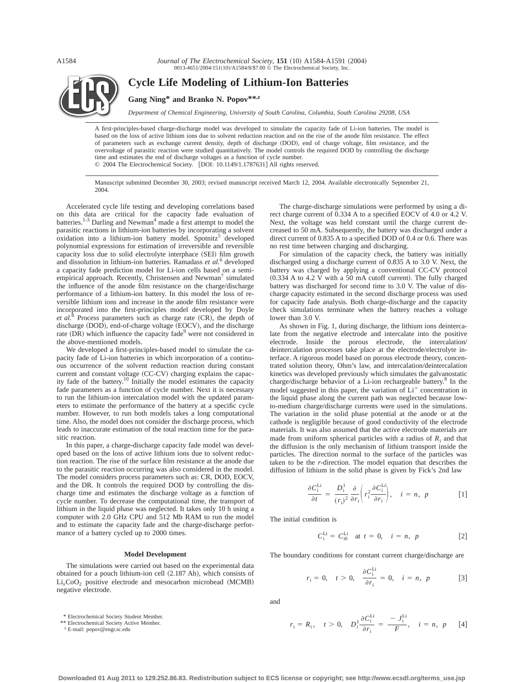*Journal of The Electrochemical Society*, **151** (10) A1584-A1591 (2004) 0013-4651/2004/151(10)/A1584/8/\$7.00 © The Electrochemical Society, Inc.



**Cycle Life Modeling of Lithium-Ion Batteries**

**Gang Ning\* and Branko N. Popov\*\*,z**

*Department of Chemical Engineering, University of South Carolina, Columbia, South Carolina 29208, USA*

A first-principles-based charge-discharge model was developed to simulate the capacity fade of Li-ion batteries. The model is based on the loss of active lithium ions due to solvent reduction reaction and on the rise of the anode film resistance. The effect of parameters such as exchange current density, depth of discharge (DOD), end of charge voltage, film resistance, and the overvoltage of parasitic reaction were studied quantitatively. The model controls the required DOD by controlling the discharge time and estimates the end of discharge voltages as a function of cycle number. © 2004 The Electrochemical Society. [DOI: 10.1149/1.1787631] All rights reserved.

Manuscript submitted December 30, 2003; revised manuscript received March 12, 2004. Available electronically September 21, 2004.

Accelerated cycle life testing and developing correlations based on this data are critical for the capacity fade evaluation of batteries.<sup>1-3</sup> Darling and Newman<sup>4</sup> made a first attempt to model the parasitic reactions in lithium-ion batteries by incorporating a solvent oxidation into a lithium-ion battery model. Spotnitz<sup>5</sup> developed polynomial expressions for estimation of irreversible and reversible capacity loss due to solid electrolyte interphace (SEI) film growth and dissolution in lithium-ion batteries. Ramadass *et al.*<sup>6</sup> developed a capacity fade prediction model for Li-ion cells based on a semiempirical approach. Recently, Christensen and Newman<sup>7</sup> simulated the influence of the anode film resistance on the charge/discharge performance of a lithium-ion battery. In this model the loss of reversible lithium ions and increase in the anode film resistance were incorporated into the first-principles model developed by Doyle *et al.*<sup>8</sup> Process parameters such as charge rate  $(CR)$ , the depth of discharge (DOD), end-of-charge voltage (EOCV), and the discharge rate  $(DR)$  which influence the capacity fade<sup>9</sup> were not considered in the above-mentioned models.

We developed a first-principles-based model to simulate the capacity fade of Li-ion batteries in which incorporation of a continuous occurrence of the solvent reduction reaction during constant current and constant voltage (CC-CV) charging explains the capacity fade of the battery.<sup>10</sup> Initially the model estimates the capacity fade parameters as a function of cycle number. Next it is necessary to run the lithium-ion intercalation model with the updated parameters to estimate the performance of the battery at a specific cycle number. However, to run both models takes a long computational time. Also, the model does not consider the discharge process, which leads to inaccurate estimation of the total reaction time for the parasitic reaction.

In this paper, a charge-discharge capacity fade model was developed based on the loss of active lithium ions due to solvent reduction reaction. The rise of the surface film resistance at the anode due to the parasitic reaction occurring was also considered in the model. The model considers process parameters such as: CR, DOD, EOCV, and the DR. It controls the required DOD by controlling the discharge time and estimates the discharge voltage as a function of cycle number. To decrease the computational time, the transport of lithium in the liquid phase was neglected. It takes only 10 h using a computer with 2.0 GHz CPU and 512 Mb RAM to run the model and to estimate the capacity fade and the charge-discharge performance of a battery cycled up to 2000 times.

#### **Model Development**

The simulations were carried out based on the experimental data obtained for a pouch lithium-ion cell  $(2.187 \text{ Ah})$ , which consists of  $Li<sub>x</sub>CoO<sub>2</sub>$  positive electrode and mesocarbon microbead (MCMB) negative electrode.

\* Electrochemical Society Student Member.

\*\* Electrochemical Society Active Member.

<sup>z</sup> E-mail: popov@engr.sc.edu

The charge-discharge simulations were performed by using a direct charge current of 0.334 A to a specified EOCV of 4.0 or 4.2 V. Next, the voltage was held constant until the charge current decreased to 50 mA. Subsequently, the battery was discharged under a direct current of 0.835 A to a specified DOD of 0.4 or 0.6. There was no rest time between charging and discharging.

For simulation of the capacity check, the battery was initially discharged using a discharge current of 0.835 A to 3.0 V. Next, the battery was charged by applying a conventional CC-CV protocol  $(0.334$  A to 4.2 V with a 50 mA cutoff current). The fully charged battery was discharged for second time to 3.0 V. The value of discharge capacity estimated in the second discharge process was used for capacity fade analysis. Both charge-discharge and the capacity check simulations terminate when the battery reaches a voltage lower than 3.0 V.

As shown in Fig. 1, during discharge, the lithium ions deintercalate from the negative electrode and intercalate into the positive electrode. Inside the porous electrode, the intercalation/ deintercalation processes take place at the electrode/electrolyte interface. A rigorous model based on porous electrode theory, concentrated solution theory, Ohm's law, and intercalation/deintercalation kinetics was developed previously which simulates the galvanostatic charge/discharge behavior of a Li-ion rechargeable battery.<sup>8</sup> In the model suggested in this paper, the variation of  $Li<sup>+</sup>$  concentration in the liquid phase along the current path was neglected because lowto-medium charge/discharge currents were used in the simulations. The variation in the solid phase potential at the anode or at the cathode is negligible because of good conductivity of the electrode materials. It was also assumed that the active electrode materials are made from uniform spherical particles with a radius of  $R_i$  and that the diffusion is the only mechanism of lithium transport inside the particles. The direction normal to the surface of the particles was taken to be the *r*-direction. The model equation that describes the diffusion of lithium in the solid phase is given by Fick's 2nd law

$$
\frac{\partial C_i^{\text{Li}}}{\partial t} = \frac{D_i^1}{(r_i)^2} \frac{\partial}{\partial r_i} \left( r_i^2 \frac{\partial C_i^{\text{Li}}}{\partial r_i} \right), \quad i = n, \ p \tag{1}
$$

The initial condition is

$$
C_i^{\text{Li}} = C_{i0}^{\text{Li}} \quad \text{at } t = 0, \quad i = n, \ p \tag{2}
$$

The boundary conditions for constant current charge/discharge are

$$
r_{i} = 0, \quad t > 0, \quad \frac{\partial C_{i}^{\text{Li}}}{\partial r_{i}} = 0, \quad i = n, \quad p \tag{3}
$$

and

$$
r_i = R_i
$$
,  $t > 0$ ,  $D_i^1 \frac{\partial C_i^{Li}}{\partial r_i} = \frac{-J_i^{Li}}{F}$ ,  $i = n$ , p [4]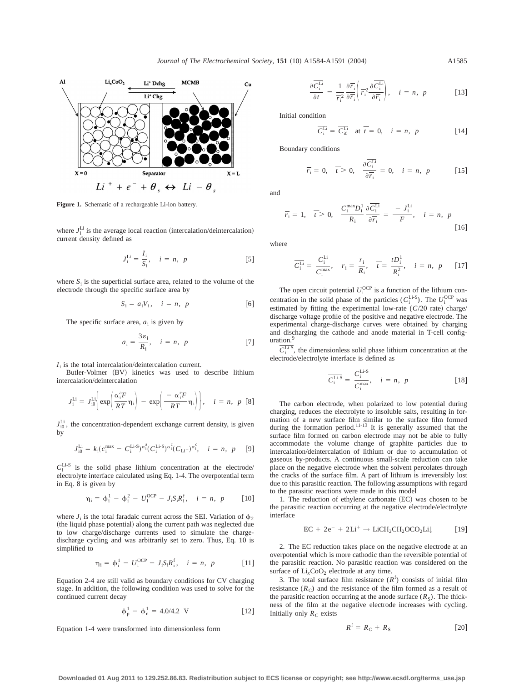

**Figure 1.** Schematic of a rechargeable Li-ion battery.

where  $J_i^{\text{Li}}$  is the average local reaction (intercalation/deintercalation) current density defined as

$$
J_i^{\text{Li}} = \frac{I_i}{S_i}, \quad i = n, \ p \tag{5}
$$

where  $S_i$  is the superficial surface area, related to the volume of the electrode through the specific surface area by

$$
S_i = a_i V_i, \quad i = n, \ p \tag{6}
$$

The specific surface area,  $a_i$  is given by

$$
a_i = \frac{3\varepsilon_i}{R_i}, \quad i = n, \ p \tag{7}
$$

 $I_i$  is the total intercalation/deintercalation current.

Butler-Volmer (BV) kinetics was used to describe lithium intercalation/deintercalation

$$
J_i^{\text{Li}} = J_{i0}^{\text{Li}} \bigg( \exp \bigg( \frac{\alpha_i^3 F}{RT} \eta_i \bigg) - \exp \bigg( \frac{-\alpha_i^c F}{RT} \eta_i \bigg) \bigg), \quad i = n, \ p \ [8]
$$

 $J<sub>10</sub><sup>Li</sup>$ , the concentration-dependent exchange current density, is given by

$$
J_{i0}^{\text{Li}} = k_i (c_i^{\text{max}} - C_i^{\text{Li-S}})^{\alpha_i^a} (C_i^{\text{Li-S}})^{\alpha_i^c} (C_{\text{Li}^+})^{\alpha_i^c}, \quad i = n, p \quad [9]
$$

 $C_i^{\text{Li-S}}$  is the solid phase lithium concentration at the electrode/ electrolyte interface calculated using Eq. 1-4. The overpotential term in Eq. 8 is given by

$$
\eta_{i} = \phi_{i}^{1} - \phi_{i}^{2} - U_{i}^{OCP} - J_{i}S_{i}R_{i}^{f}, \quad i = n, \ p \qquad [10]
$$

where  $J_i$  is the total faradaic current across the SEI. Variation of  $\phi_2$ (the liquid phase potential) along the current path was neglected due to low charge/discharge currents used to simulate the chargedischarge cycling and was arbitrarily set to zero. Thus, Eq. 10 is simplified to

$$
\eta_{i} = \phi_{i}^{1} - U_{i}^{OCP} - J_{i}S_{i}R_{i}^{f}, \quad i = n, p \qquad [11]
$$

Equation 2-4 are still valid as boundary conditions for CV charging stage. In addition, the following condition was used to solve for the continued current decay

$$
\phi_p^1 - \phi_n^1 = 4.0/4.2 \text{ V} \tag{12}
$$

Equation 1-4 were transformed into dimensionless form

$$
\frac{\partial \overline{C_i^{Li}}}{\partial t} = \frac{1}{\overline{r_i^2}} \frac{\partial \overline{r_i}}{\partial \overline{r_i}} \left( \overline{r_i^2} \frac{\partial \overline{C_i^{Li}}}{\partial \overline{r_i}} \right), \quad i = n, \ p \tag{13}
$$

Initial condition

$$
\overline{C_i^{\text{Li}}} = \overline{C_{i0}^{\text{Li}}} \quad \text{at } \overline{t} = 0, \quad i = n, \ p \tag{14}
$$

Boundary conditions

 $\overline{r_i} = 0$ ,  $\overline{t} > 0$ ,  $\frac{\partial C_i^{\text{Li}}}{\partial \overline{t}}$  $\frac{1}{\partial \overline{r_i}} = 0, \quad i = n, \quad p$  [15]

and

$$
\overline{r_i} = 1, \quad \overline{t} > 0, \quad \frac{C_i^{\max} D_i^1}{R_i} \frac{\partial \overline{C_i^{Li}}}{\partial \overline{r_i}} = \frac{-J_i^{Li}}{F}, \quad i = n, \quad p
$$
\n[16]

where

$$
\overline{C}_{i}^{\text{Li}} = \frac{C_{i}^{\text{Li}}}{C_{i}^{\text{max}}}, \quad \overline{r}_{i} = \frac{r_{i}}{R_{i}}, \quad \overline{t} = \frac{tD_{i}^{1}}{R_{i}^{2}}, \quad i = n, \ p \qquad [17]
$$

The open circuit potential  $U_i^{\text{OCP}}$  is a function of the lithium concentration in the solid phase of the particles  $(C_i^{\text{Li-S}})$ . The  $U_i^{\text{OCP}}$  was estimated by fitting the experimental low-rate  $(C/20 \text{ rate})$  charge/ discharge voltage profile of the positive and negative electrode. The experimental charge-discharge curves were obtained by charging and discharging the cathode and anode material in T-cell configuration.

 $\overline{C_i^{\text{Li-S}}}$ , the dimensionless solid phase lithium concentration at the electrode/electrolyte interface is defined as

$$
\overline{C_i^{\text{Li-S}}} = \frac{C_i^{\text{Li-S}}}{C_i^{\text{max}}}, \quad i = n, \ p \tag{18}
$$

The carbon electrode, when polarized to low potential during charging, reduces the electrolyte to insoluble salts, resulting in formation of a new surface film similar to the surface film formed during the formation period.<sup>11-13</sup> It is generally assumed that the surface film formed on carbon electrode may not be able to fully accommodate the volume change of graphite particles due to intercalation/deintercalation of lithium or due to accumulation of gaseous by-products. A continuous small-scale reduction can take place on the negative electrode when the solvent percolates through the cracks of the surface film. A part of lithium is irreversibly lost due to this parasitic reaction. The following assumptions with regard to the parasitic reactions were made in this model

1. The reduction of ethylene carbonate  $(EC)$  was chosen to be the parasitic reaction occurring at the negative electrode/electrolyte interface

$$
EC + 2e^- + 2Li^+ \rightarrow LiCH_2CH_2OCO_2Li\downarrow
$$
 [19]

2. The EC reduction takes place on the negative electrode at an overpotential which is more cathodic than the reversible potential of the parasitic reaction. No parasitic reaction was considered on the surface of  $Li<sub>x</sub>CoO<sub>2</sub>$  electrode at any time.

3. The total surface film resistance  $(R^f)$  consists of initial film resistance  $(R_C)$  and the resistance of the film formed as a result of the parasitic reaction occurring at the anode surface  $(R<sub>S</sub>)$ . The thickness of the film at the negative electrode increases with cycling. Initially only  $R<sub>C</sub>$  exists

$$
R^{\rm f} = R_{\rm C} + R_{\rm S} \tag{20}
$$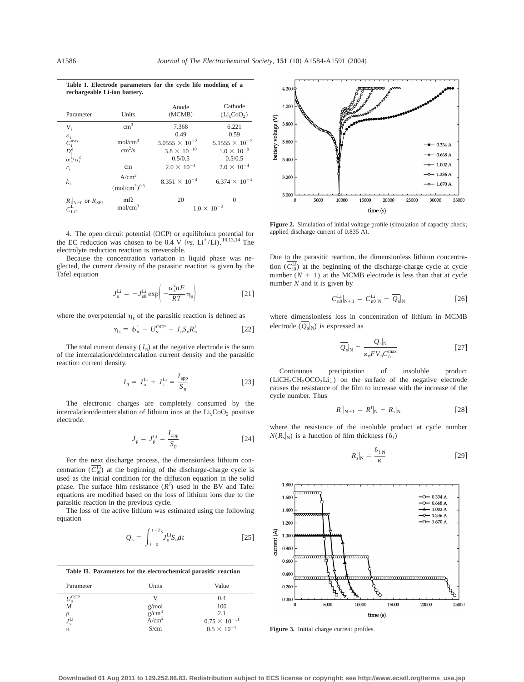**rechargeable Li-ion battery.** Parameter Units Anode  $(MCMB)$ Cathode  $(Li_xCoO<sub>2</sub>)$  $V_i$  cm<sup>3</sup> 7.368 6.221  $\varepsilon_i$  0.49 0.59 *C*i  $\mathcal{E}_1$ <br>  $\mathcal{C}_1^{\text{max}}$  mol/cm<sup>3</sup> 3.0555  $\times$  10<sup>-2</sup> 5.1555  $\times$  10<sup>-2</sup><br>  $\mathcal{D}_2^e$  cm<sup>2</sup>/s 3.8  $\times$  10<sup>-10</sup> 1.0  $\times$  10<sup>-9</sup>  $D_i^e$  $\text{cm}^2/\text{s}$  $3.8 \times 10^{-10}$  $\alpha_i^{\rm a}/\alpha_i^{\rm c}$  $0.5/0.5$  0.5/0.5 *r*<sub>i</sub> cm  $2.0 \times 10^{-4}$   $2.0 \times 10^{-4}$ *k*i  $A/cm<sup>2</sup>$  $(mol/cm<sup>3</sup>)<sup>0.5</sup>$  $8.351 \times 10^{-4}$  6.374  $\times 10^{-4}$  $R_f|_{N=0}$  or  $R_{\text{SEI}}$  m $\Omega$  20 0  $C_{Li^{+}}^{L}$  mol/cm<sup>3</sup> 1.0  $\times$  10<sup>-3</sup>

**Table I. Electrode parameters for the cycle life modeling of a**

4. The open circuit potential (OCP) or equilibrium potential for the EC reduction was chosen to be 0.4 V  $(vs. Li^{+}/Li)$ .<sup>10,13,14</sup> The electrolyte reduction reaction is irreversible.

Because the concentration variation in liquid phase was neglected, the current density of the parasitic reaction is given by the Tafel equation

$$
J_{\rm s}^{\rm Li} = -J_{\rm s0}^{\rm Li} \exp\left(-\frac{\alpha_{\rm s}^{\rm c} nF}{RT} \,\eta_{\rm s}\right) \tag{21}
$$

where the overpotential  $\eta_s$  of the parasitic reaction is defined as

$$
\eta_s = \phi_n^1 - U_s^{\text{OCP}} - J_n S_n R_n^f \qquad [22]
$$

The total current density  $(J_n)$  at the negative electrode is the sum of the intercalation/deintercalation current density and the parasitic reaction current density.

$$
J_{\rm n} = J_{\rm n}^{\rm Li} + J_{\rm s}^{\rm Li} = \frac{I_{\rm app}}{S_{\rm n}}
$$
 [23]

The electronic charges are completely consumed by the intercalation/deintercalation of lithium ions at the  $Li<sub>x</sub>CoO<sub>2</sub>$  positive electrode.

$$
J_{\rm p} = J_{\rm p}^{\rm Li} = \frac{I_{\rm app}}{S_{\rm p}} \tag{24}
$$

For the next discharge process, the dimensionless lithium concentration  $(\overline{C_{i0}^{Li}})$  at the beginning of the discharge-charge cycle is used as the initial condition for the diffusion equation in the solid phase. The surface film resistance  $(R<sup>f</sup>)$  used in the BV and Tafel equations are modified based on the loss of lithium ions due to the parasitic reaction in the previous cycle.

The loss of the active lithium was estimated using the following equation

$$
Q_{\rm s} = \int_{t=0}^{t=T_{\rm s}} J_{\rm s}^{\rm Li} S_{\rm n} dt \qquad [25]
$$

**Table II. Parameters for the electrochemical parasitic reaction**

| Parameter             | Units                                   | Value                  |
|-----------------------|-----------------------------------------|------------------------|
| $U_{\rm s}^{\rm OCP}$ |                                         | 0.4                    |
| $\overline{M}$        |                                         | 100                    |
| ρ                     | $g/mol$<br>$g/cm3$<br>A/cm <sup>2</sup> | 2.1                    |
| $J_{\rm s}^{\rm Li}$  |                                         | $0.75 \times 10^{-11}$ |
| к                     | S/cm                                    | $0.5 \times 10^{-7}$   |



Figure 2. Simulation of initial voltage profile (simulation of capacity check; applied discharge current of 0.835 A).

Due to the parasitic reaction, the dimensionless lithium concentration  $(\overline{C_{i0}^{Li}})$  at the beginning of the discharge-charge cycle at cycle number  $(N + 1)$  at the MCMB electrode is less than that at cycle number *N* and it is given by

$$
\overline{C_{n0}^{\text{Li}}}|_{\text{N}+1} = \overline{C_{n0}^{\text{Li}}}|_{\text{N}} - \overline{Q}_{\text{s}}|_{\text{N}}
$$
 [26]

where dimensionless loss in concentration of lithium in MCMB electrode  $(Q_s|_N)$  is expressed as

$$
\overline{Q}_{\rm s}|_{\rm N} = \frac{Q_{\rm s}|_{\rm N}}{\varepsilon_{\rm n} F V_{\rm n} C_{\rm n}^{\rm max}} \tag{27}
$$

Continuous precipitation of insoluble product  $(LICH, CH, OCO<sub>2</sub>Li)$  on the surface of the negative electrode causes the resistance of the film to increase with the increase of the cycle number. Thus

$$
R^{f}|_{N+1} = R^{f}|_{N} + R_{s}|_{N} \tag{28}
$$

where the resistance of the insoluble product at cycle number  $N(R_s|_N)$  is a function of film thickness ( $\delta_f$ )

$$
R_{\rm s}|_{\rm N} = \frac{\delta_{\rm f}|_{\rm N}}{\kappa} \tag{29}
$$



Figure 3. Initial charge current profiles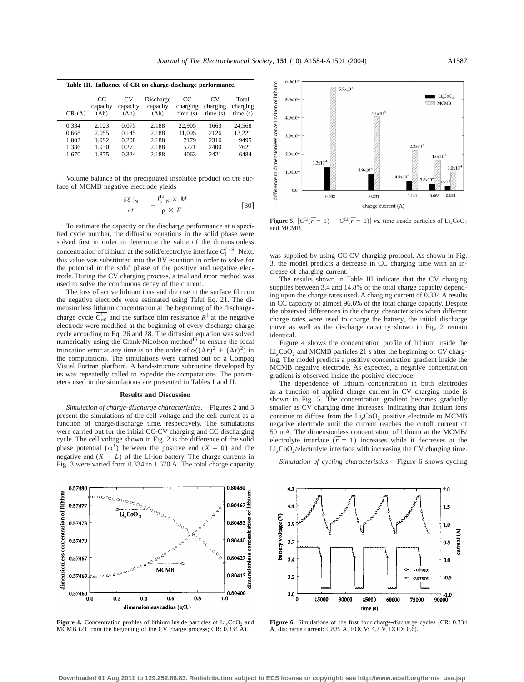| Table III. Influence of CR on charge-discharge performance. |                        |                         |                               |                           |                            |                              |  |  |
|-------------------------------------------------------------|------------------------|-------------------------|-------------------------------|---------------------------|----------------------------|------------------------------|--|--|
| CR(A)                                                       | CC<br>capacity<br>(Ah) | CV.<br>capacity<br>(Ah) | Discharge<br>capacity<br>(Ah) | CC<br>charging<br>time(s) | CV.<br>charging<br>time(s) | Total<br>charging<br>time(s) |  |  |
| 0.334                                                       | 2.123                  | 0.075                   | 2.188                         | 22.905                    | 1663                       | 24.568                       |  |  |
| 0.668                                                       | 2.055                  | 0.145                   | 2.188                         | 11.095                    | 2126                       | 13.221                       |  |  |
| 1.002                                                       | 1.992                  | 0.208                   | 2.188                         | 7179                      | 2316                       | 9495                         |  |  |
| 1.336                                                       | 1.930                  | 0.27                    | 2.188                         | 5221                      | 2400                       | 7621                         |  |  |
| 1.670                                                       | 1.875                  | 0.324                   | 2.188                         | 4063                      | 2421                       | 6484                         |  |  |
|                                                             |                        |                         |                               |                           |                            |                              |  |  |

Volume balance of the precipitated insoluble product on the surface of MCMB negative electrode yields

$$
\frac{\partial \delta_{\rm f}|_{\rm N}}{\partial t} = -\frac{J_{\rm s}^{\rm Li}|_{\rm N} \times M}{\rho \times F} \tag{30}
$$

To estimate the capacity or the discharge performance at a specified cycle number, the diffusion equations in the solid phase were solved first in order to determine the value of the dimensionless concentration of lithium at the solid/electrolyte interface  $\overline{C_i^{\text{Li-S}}}$ . Next, this value was substituted into the BV equation in order to solve for the potential in the solid phase of the positive and negative electrode. During the CV charging process, a trial and error method was used to solve the continuous decay of the current.

The loss of active lithium ions and the rise in the surface film on the negative electrode were estimated using Tafel Eq. 21. The dimensionless lithium concentration at the beginning of the dischargecharge cycle  $\overline{C_{n0}^{Li}}$  and the surface film resistance  $R^f$  at the negative electrode were modified at the beginning of every discharge-charge cycle according to Eq. 26 and 28. The diffusion equation was solved numerically using the Crank-Nicolson method $15$  to ensure the local truncation error at any time is on the order of  $o((\Delta r)^2 + (\Delta t)^2)$  in the computations. The simulations were carried out on a Compaq Visual Fortran platform. A band-structure subroutine developed by us was repeatedly called to expedite the computations. The parameters used in the simulations are presented in Tables I and II.

### **Results and Discussion**

*Simulation of charge-discharge characteristics*.—Figures 2 and 3 present the simulations of the cell voltage and the cell current as a function of charge/discharge time, respectively. The simulations were carried out for the initial CC-CV charging and CC discharging cycle. The cell voltage shown in Fig. 2 is the difference of the solid phase potential  $(\phi^1)$  between the positive end  $(X = 0)$  and the negative end  $(X = L)$  of the Li-ion battery. The charge currents in Fig. 3 were varied from 0.334 to 1.670 A. The total charge capacity



**Figure 4.** Concentration profiles of lithium inside particles of  $Li<sub>x</sub>CoO<sub>2</sub>$  and MCMB (21 from the beginning of the CV charge process; CR: 0.334 A).



**Figure 5.**  $|C^{\text{Li}}(\overline{r} = 1) - C^{\text{Li}}(\overline{r} = 0)|$  *vs.* time inside particles of Li<sub>x</sub>CoO<sub>2</sub> and MCMB.

was supplied by using CC-CV charging protocol. As shown in Fig. 3, the model predicts a decrease in CC charging time with an increase of charging current.

The results shown in Table III indicate that the CV charging supplies between 3.4 and 14.8% of the total charge capacity depending upon the charge rates used. A charging current of 0.334 A results in CC capacity of almost 96.6% of the total charge capacity. Despite the observed differences in the charge characteristics when different charge rates were used to charge the battery, the initial discharge curve as well as the discharge capacity shown in Fig. 2 remain identical.

Figure 4 shows the concentration profile of lithium inside the  $Li<sub>x</sub>CoO<sub>2</sub>$  and MCMB particles 21 s after the beginning of CV charging. The model predicts a positive concentration gradient inside the MCMB negative electrode. As expected, a negative concentration gradient is observed inside the positive electrode.

The dependence of lithium concentration in both electrodes as a function of applied charge current in CV charging mode is shown in Fig. 5. The concentration gradient becomes gradually smaller as CV charging time increases, indicating that lithium ions continue to diffuse from the  $Li<sub>x</sub>CoO<sub>2</sub>$  positive electrode to MCMB negative electrode until the current reaches the cutoff current of 50 mA. The dimensionless concentration of lithium at the MCMB/ electrolyte interface  $(\bar{r} = 1)$  increases while it decreases at the  $Li<sub>x</sub>CoO<sub>2</sub>/electrolyte interface with increasing the CV charging time.$ 



*Simulation of cycling characteristics*.—Figure 6 shows cycling

Figure 6. Simulations of the first four charge-discharge cycles (CR: 0.334) A, discharge current: 0.835 A, EOCV: 4.2 V, DOD: 0.6).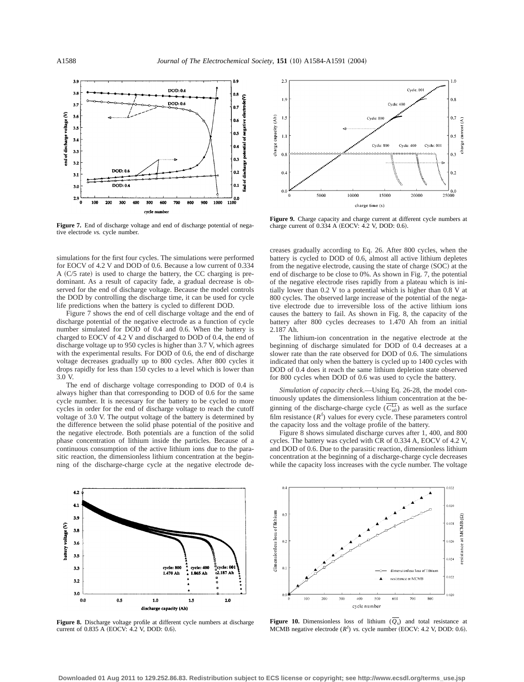

**Figure 7.** End of discharge voltage and end of discharge potential of negative electrode *vs.* cycle number.

simulations for the first four cycles. The simulations were performed for EOCV of 4.2 V and DOD of 0.6. Because a low current of 0.334 A  $(C/5$  rate) is used to charge the battery, the CC charging is predominant. As a result of capacity fade, a gradual decrease is observed for the end of discharge voltage. Because the model controls the DOD by controlling the discharge time, it can be used for cycle life predictions when the battery is cycled to different DOD.

Figure 7 shows the end of cell discharge voltage and the end of discharge potential of the negative electrode as a function of cycle number simulated for DOD of 0.4 and 0.6. When the battery is charged to EOCV of 4.2 V and discharged to DOD of 0.4, the end of discharge voltage up to 950 cycles is higher than 3.7 V, which agrees with the experimental results. For DOD of 0.6, the end of discharge voltage decreases gradually up to 800 cycles. After 800 cycles it drops rapidly for less than 150 cycles to a level which is lower than 3.0 V.

The end of discharge voltage corresponding to DOD of 0.4 is always higher than that corresponding to DOD of 0.6 for the same cycle number. It is necessary for the battery to be cycled to more cycles in order for the end of discharge voltage to reach the cutoff voltage of 3.0 V. The output voltage of the battery is determined by the difference between the solid phase potential of the positive and the negative electrode. Both potentials are a function of the solid phase concentration of lithium inside the particles. Because of a continuous consumption of the active lithium ions due to the parasitic reaction, the dimensionless lithium concentration at the beginning of the discharge-charge cycle at the negative electrode de-



**Figure 9.** Charge capacity and charge current at different cycle numbers at charge current of 0.334 A (EOCV: 4.2 V, DOD: 0.6).

creases gradually according to Eq. 26. After 800 cycles, when the battery is cycled to DOD of 0.6, almost all active lithium depletes from the negative electrode, causing the state of charge (SOC) at the end of discharge to be close to 0%. As shown in Fig. 7, the potential of the negative electrode rises rapidly from a plateau which is initially lower than 0.2 V to a potential which is higher than 0.8 V at 800 cycles. The observed large increase of the potential of the negative electrode due to irreversible loss of the active lithium ions causes the battery to fail. As shown in Fig. 8, the capacity of the battery after 800 cycles decreases to 1.470 Ah from an initial 2.187 Ah.

The lithium-ion concentration in the negative electrode at the beginning of discharge simulated for DOD of 0.4 decreases at a slower rate than the rate observed for DOD of 0.6. The simulations indicated that only when the battery is cycled up to 1400 cycles with DOD of 0.4 does it reach the same lithium depletion state observed for 800 cycles when DOD of 0.6 was used to cycle the battery.

*Simulation of capacity check*.—Using Eq. 26-28, the model continuously updates the dimensionless lithium concentration at the beginning of the discharge-charge cycle  $(\overline{C_{n0}^{Li}})$  as well as the surface film resistance  $(R^f)$  values for every cycle. These parameters control the capacity loss and the voltage profile of the battery.

Figure 8 shows simulated discharge curves after 1, 400, and 800 cycles. The battery was cycled with CR of 0.334 A, EOCV of 4.2 V, and DOD of 0.6. Due to the parasitic reaction, dimensionless lithium concentration at the beginning of a discharge-charge cycle decreases while the capacity loss increases with the cycle number. The voltage



**Figure 8.** Discharge voltage profile at different cycle numbers at discharge current of 0.835 A (EOCV: 4.2 V, DOD: 0.6).



**Figure 10.** Dimensionless loss of lithium  $(Q_s)$  and total resistance at MCMB negative electrode  $(R^f)$  *vs.* cycle number (EOCV: 4.2 V, DOD: 0.6).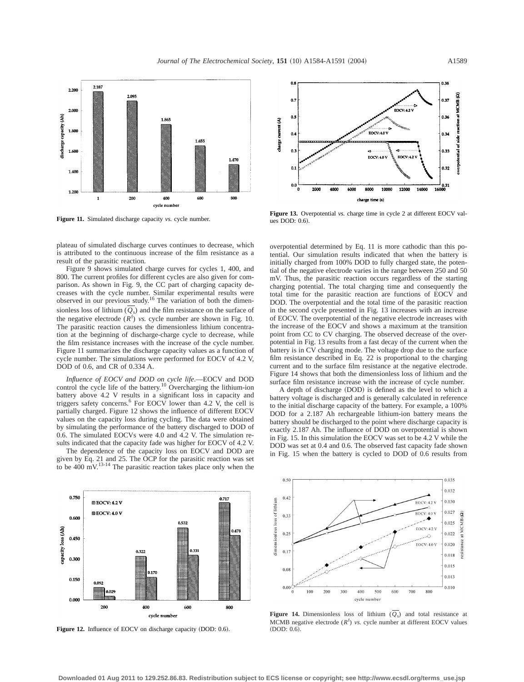

**Figure 11.** Simulated discharge capacity *vs.* cycle number.

plateau of simulated discharge curves continues to decrease, which is attributed to the continuous increase of the film resistance as a result of the parasitic reaction.

Figure 9 shows simulated charge curves for cycles 1, 400, and 800. The current profiles for different cycles are also given for comparison. As shown in Fig. 9, the CC part of charging capacity decreases with the cycle number. Similar experimental results were observed in our previous study.16 The variation of both the dimensionless loss of lithium  $(Q_s)$  and the film resistance on the surface of the negative electrode  $(R^{f})$  *vs.* cycle number are shown in Fig. 10. The parasitic reaction causes the dimensionless lithium concentration at the beginning of discharge-charge cycle to decrease, while the film resistance increases with the increase of the cycle number. Figure 11 summarizes the discharge capacity values as a function of cycle number. The simulations were performed for EOCV of 4.2 V, DOD of 0.6, and CR of 0.334 A.

*Influence of EOCV and DOD on cycle life*.—EOCV and DOD control the cycle life of the battery.<sup>10</sup> Overcharging the lithium-ion battery above 4.2 V results in a significant loss in capacity and triggers safety concerns.6 For EOCV lower than 4.2 V, the cell is partially charged. Figure 12 shows the influence of different EOCV values on the capacity loss during cycling. The data were obtained by simulating the performance of the battery discharged to DOD of 0.6. The simulated EOCVs were 4.0 and 4.2 V. The simulation results indicated that the capacity fade was higher for EOCV of 4.2 V.

The dependence of the capacity loss on EOCV and DOD are given by Eq. 21 and 25. The OCP for the parasitic reaction was set to be  $400 \text{ mV}$ .<sup>13-14</sup> The parasitic reaction takes place only when the



Figure 12. Influence of EOCV on discharge capacity (DOD: 0.6).



**Figure 13.** Overpotential *vs.* charge time in cycle 2 at different EOCV values DOD: 0.6).

overpotential determined by Eq. 11 is more cathodic than this potential. Our simulation results indicated that when the battery is initially charged from 100% DOD to fully charged state, the potential of the negative electrode varies in the range between 250 and 50 mV. Thus, the parasitic reaction occurs regardless of the starting charging potential. The total charging time and consequently the total time for the parasitic reaction are functions of EOCV and DOD. The overpotential and the total time of the parasitic reaction in the second cycle presented in Fig. 13 increases with an increase of EOCV. The overpotential of the negative electrode increases with the increase of the EOCV and shows a maximum at the transition point from CC to CV charging. The observed decrease of the overpotential in Fig. 13 results from a fast decay of the current when the battery is in CV charging mode. The voltage drop due to the surface film resistance described in Eq. 22 is proportional to the charging current and to the surface film resistance at the negative electrode. Figure 14 shows that both the dimensionless loss of lithium and the surface film resistance increase with the increase of cycle number.

A depth of discharge (DOD) is defined as the level to which a battery voltage is discharged and is generally calculated in reference to the initial discharge capacity of the battery. For example, a 100% DOD for a 2.187 Ah rechargeable lithium-ion battery means the battery should be discharged to the point where discharge capacity is exactly 2.187 Ah. The influence of DOD on overpotential is shown in Fig. 15. In this simulation the EOCV was set to be 4.2 V while the DOD was set at 0.4 and 0.6. The observed fast capacity fade shown in Fig. 15 when the battery is cycled to DOD of 0.6 results from



**Figure 14.** Dimensionless loss of lithium  $(Q_s)$  and total resistance at MCMB negative electrode  $(R^f)$  *vs.* cycle number at different EOCV values  $(DOD: 0.6)$ .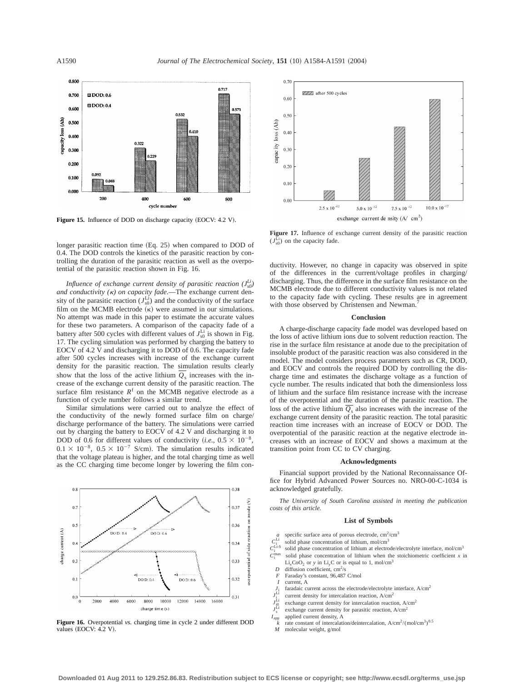

Figure 15. Influence of DOD on discharge capacity (EOCV: 4.2 V).

longer parasitic reaction time  $(Eq. 25)$  when compared to DOD of 0.4. The DOD controls the kinetics of the parasitic reaction by controlling the duration of the parasitic reaction as well as the overpotential of the parasitic reaction shown in Fig. 16.

*Influence of exchange current density of parasitic reaction*  $(J_{s0}^{Li})$ *and conductivity (*k*) on capacity fade*.—The exchange current density of the parasitic reaction  $(J_{s0}^{Li})$  and the conductivity of the surface film on the MCMB electrode  $(\kappa)$  were assumed in our simulations. No attempt was made in this paper to estimate the accurate values for these two parameters. A comparison of the capacity fade of a battery after 500 cycles with different values of  $J_{s0}^{\text{Li}}$  is shown in Fig. 17. The cycling simulation was performed by charging the battery to EOCV of 4.2 V and discharging it to DOD of 0.6. The capacity fade after 500 cycles increases with increase of the exchange current density for the parasitic reaction. The simulation results clearly show that the loss of the active lithium  $Q_s$  increases with the increase of the exchange current density of the parasitic reaction. The surface film resistance  $R<sup>f</sup>$  on the MCMB negative electrode as a function of cycle number follows a similar trend.

Similar simulations were carried out to analyze the effect of the conductivity of the newly formed surface film on charge/ discharge performance of the battery. The simulations were carried out by charging the battery to EOCV of 4.2 V and discharging it to DOD of 0.6 for different values of conductivity  $(i.e., 0.5 \times 10^{-8},$  $0.1 \times 10^{-8}$ ,  $0.5 \times 10^{-7}$  S/cm). The simulation results indicated that the voltage plateau is higher, and the total charging time as well as the CC charging time become longer by lowering the film con-



**Figure 16.** Overpotential *vs.* charging time in cycle 2 under different DOD values  $(EOCV: 4.2 V)$ .



**Figure 17.** Influence of exchange current density of the parasitic reaction  $(J<sub>s0</sub><sup>Li</sup>)$  on the capacity fade.

ductivity. However, no change in capacity was observed in spite of the differences in the current/voltage profiles in charging/ discharging. Thus, the difference in the surface film resistance on the MCMB electrode due to different conductivity values is not related to the capacity fade with cycling. These results are in agreement with those observed by Christensen and Newman.

#### **Conclusion**

A charge-discharge capacity fade model was developed based on the loss of active lithium ions due to solvent reduction reaction. The rise in the surface film resistance at anode due to the precipitation of insoluble product of the parasitic reaction was also considered in the model. The model considers process parameters such as CR, DOD, and EOCV and controls the required DOD by controlling the discharge time and estimates the discharge voltage as a function of cycle number. The results indicated that both the dimensionless loss of lithium and the surface film resistance increase with the increase of the overpotential and the duration of the parasitic reaction. The loss of the active lithium  $Q_s$  also increases with the increase of the exchange current density of the parasitic reaction. The total parasitic reaction time increases with an increase of EOCV or DOD. The overpotential of the parasitic reaction at the negative electrode increases with an increase of EOCV and shows a maximum at the transition point from CC to CV charging.

#### **Acknowledgments**

Financial support provided by the National Reconnaissance Office for Hybrid Advanced Power Sources no. NRO-00-C-1034 is acknowledged gratefully.

*The University of South Carolina assisted in meeting the publication costs of this article.*

#### **List of Symbols**

- *a* specific surface area of porous electrode,  $\text{cm}^2/\text{cm}^3$
- $C_i^1$ solid phase concentration of lithium, mol/cm $3$
- $C_i^1$ solid phase concentration of lithium at electrode/electrolyte interface, mol/cm<sup>3</sup>

 $C_i^{\rm I}$ solid phase concentration of lithium when the stoichiometric coefficient  $x$  in  $Li_xCoO_2$  or *y* in  $Li_yC$  or is equal to 1, mol/cm<sup>3</sup>

- *D* diffusion coefficient,  $\text{cm}^2/\text{s}$
- *F* Faraday's constant, 96,487 C/mol
- *I* current, A
- faradaic current across the electrode/electrolyte interface, A/cm<sup>2</sup>  $J_1^{\rm Li}$
- current density for intercalation reaction, A/cm<sup>2</sup>
- $J_{\rm i0}^{\rm L1}$ exchange current density for intercalation reaction,  $A/cm<sup>2</sup>$
- $J_{\rm s}^{\rm l}$ exchange current density for parasitic reaction,  $A/cm<sup>2</sup>$
- *I*<sub>app</sub> applied current density, A
- *k* rate constant of intercalation/deintercalation,  $A/cm^2/(mol/cm^3)^{0.5}$ <br>*M* molecular weight, g/mol
- *M* molecular weight, g/mol